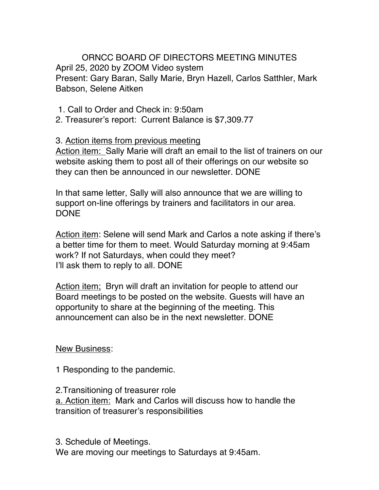ORNCC BOARD OF DIRECTORS MEETING MINUTES April 25, 2020 by ZOOM Video system Present: Gary Baran, Sally Marie, Bryn Hazell, Carlos Satthler, Mark Babson, Selene Aitken

1. Call to Order and Check in: 9:50am

2. Treasurer's report: Current Balance is \$7,309.77

3. Action items from previous meeting

Action item: Sally Marie will draft an email to the list of trainers on our website asking them to post all of their offerings on our website so they can then be announced in our newsletter. DONE

In that same letter, Sally will also announce that we are willing to support on-line offerings by trainers and facilitators in our area. DONE

Action item: Selene will send Mark and Carlos a note asking if there's a better time for them to meet. Would Saturday morning at 9:45am work? If not Saturdays, when could they meet? I'll ask them to reply to all. DONE

Action item; Bryn will draft an invitation for people to attend our Board meetings to be posted on the website. Guests will have an opportunity to share at the beginning of the meeting. This announcement can also be in the next newsletter. DONE

New Business:

1 Responding to the pandemic.

2.Transitioning of treasurer role a. Action item: Mark and Carlos will discuss how to handle the transition of treasurer's responsibilities

3. Schedule of Meetings. We are moving our meetings to Saturdays at 9:45am.